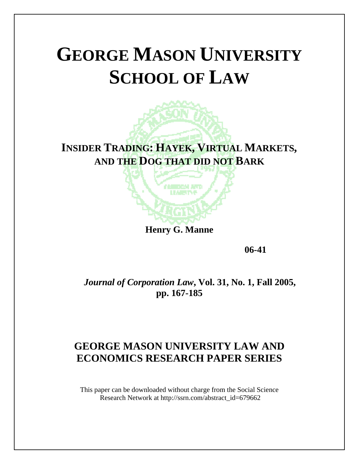# **GEORGE MASON UNIVERSITY SCHOOL OF LAW**

**INSIDER TRADING: HAYEK, VIRTUAL MARKETS, AND THE DOG THAT DID NOT BARK**

í

**Henry G. Manne** 

 **06-41** 

*Journal of Corporation Law***, Vol. 31, No. 1, Fall 2005, pp. 167-185** 

### **GEORGE MASON UNIVERSITY LAW AND ECONOMICS RESEARCH PAPER SERIES**

This paper can be downloaded without charge from the Social Science Research Network at http://ssrn.com/abstract\_id=679662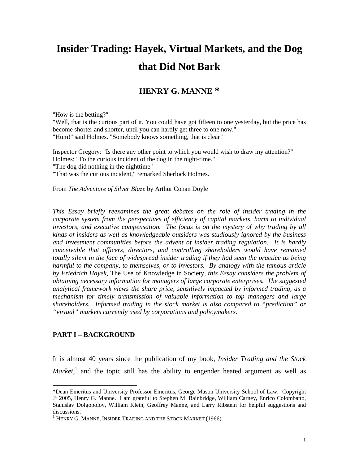## **Insider Trading: Hayek, Virtual Markets, and the Dog that Did Not Bark**

#### **HENRY G. MANNE \***

"How is the betting?"

"Well, that is the curious part of it. You could have got fifteen to one yesterday, but the price has become shorter and shorter, until you can hardly get three to one now." "Hum!" said Holmes. "Somebody knows something, that is clear!"

Inspector Gregory: "Is there any other point to which you would wish to draw my attention?" Holmes: "To the curious incident of the dog in the night-time." "The dog did nothing in the nighttime" "That was the curious incident," remarked Sherlock Holmes.

From *The Adventure of Silver Blaze* by Arthur Conan Doyle

*This Essay briefly reexamines the great debates on the role of insider trading in the corporate system from the perspectives of efficiency of capital markets, harm to individual investors, and executive compensation. The focus is on the mystery of why trading by all kinds of insiders as well as knowledgeable outsiders was studiously ignored by the business and investment communities before the advent of insider trading regulation. It is hardly conceivable that officers, directors, and controlling shareholders would have remained totally silent in the face of widespread insider trading if they had seen the practice as being harmful to the company, to themselves, or to investors. By analogy with the famous article by Friedrich Hayek,* The Use of Knowledge in Society*, this Essay considers the problem of obtaining necessary information for managers of large corporate enterprises. The suggested analytical framework views the share price, sensitively impacted by informed trading, as a mechanism for timely transmission of valuable information to top managers and large shareholders. Informed trading in the stock market is also compared to "prediction" or "virtual" markets currently used by corporations and policymakers.* 

#### **PART I – BACKGROUND**

 $\overline{a}$ 

It is almost 40 years since the publication of my book, *Insider Trading and the Stock Market*,<sup>[1](#page-1-0)</sup> and the topic still has the ability to engender heated argument as well as

<span id="page-1-0"></span><sup>\*</sup>Dean Emeritus and University Professor Emeritus, George Mason University School of Law. Copyright © 2005, Henry G. Manne. I am grateful to Stephen M. Bainbridge, William Carney, Enrico Colombatto, Stanislav Dolgopolov, William Klein, Geoffrey Manne, and Larry Ribstein for helpful suggestions and discussions.

 $1$  Henry G. Manne, Insider Trading and the Stock Market (1966).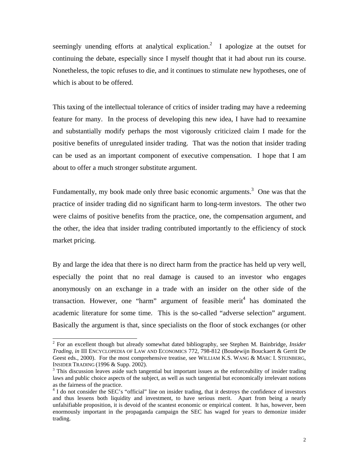seemingly unending efforts at analytical explication.<sup>[2](#page-2-0)</sup> I apologize at the outset for continuing the debate, especially since I myself thought that it had about run its course. Nonetheless, the topic refuses to die, and it continues to stimulate new hypotheses, one of which is about to be offered.

This taxing of the intellectual tolerance of critics of insider trading may have a redeeming feature for many. In the process of developing this new idea, I have had to reexamine and substantially modify perhaps the most vigorously criticized claim I made for the positive benefits of unregulated insider trading. That was the notion that insider trading can be used as an important component of executive compensation. I hope that I am about to offer a much stronger substitute argument.

Fundamentally, my book made only three basic economic arguments.<sup>[3](#page-2-1)</sup> One was that the practice of insider trading did no significant harm to long-term investors. The other two were claims of positive benefits from the practice, one, the compensation argument, and the other, the idea that insider trading contributed importantly to the efficiency of stock market pricing.

By and large the idea that there is no direct harm from the practice has held up very well, especially the point that no real damage is caused to an investor who engages anonymously on an exchange in a trade with an insider on the other side of the transaction. However, one "harm" argument of feasible merit<sup>[4](#page-2-2)</sup> has dominated the academic literature for some time. This is the so-called "adverse selection" argument. Basically the argument is that, since specialists on the floor of stock exchanges (or other

<span id="page-2-0"></span> <sup>2</sup> For an excellent though but already somewhat dated bibliography, see Stephen M. Bainbridge, *Insider Trading*, *in* III ENCYCLOPEDIA OF LAW AND ECONOMICS 772, 798-812 (Boudewijn Bouckaert & Gerrit De Geest eds., 2000). For the most comprehensive treatise, see WILLIAM K.S. WANG & MARC I. STEINBERG, INSIDER TRADING (1996 & Supp. 2002). 3

<span id="page-2-1"></span><sup>&</sup>lt;sup>3</sup> This discussion leaves aside such tangential but important issues as the enforceability of insider trading laws and public choice aspects of the subject, as well as such tangential but economically irrelevant notions as the fairness of the practice. 4

<span id="page-2-2"></span><sup>&</sup>lt;sup>4</sup> I do not consider the SEC's "official" line on insider trading, that it destroys the confidence of investors and thus lessens both liquidity and investment, to have serious merit. Apart from being a nearly unfalsifiable proposition, it is devoid of the scantest economic or empirical content. It has, however, been enormously important in the propaganda campaign the SEC has waged for years to demonize insider trading.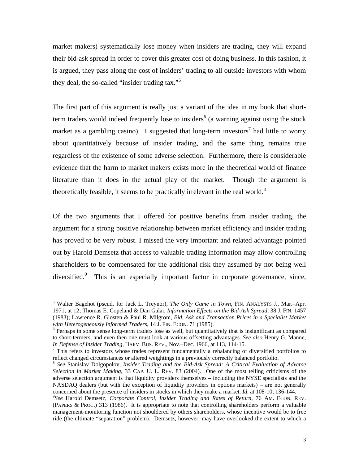market makers) systematically lose money when insiders are trading, they will expand their bid-ask spread in order to cover this greater cost of doing business. In this fashion, it is argued, they pass along the cost of insiders' trading to all outside investors with whom they deal, the so-called "insider trading tax."<sup>[5](#page-3-0)</sup>

The first part of this argument is really just a variant of the idea in my book that shortterm traders would indeed frequently lose to insiders<sup>6</sup> (a warning against using the stock market as a gambling casino). I suggested that long-term investors<sup>[7](#page-3-2)</sup> had little to worry about quantitatively because of insider trading, and the same thing remains true regardless of the existence of some adverse selection. Furthermore, there is considerable evidence that the harm to market makers exists more in the theoretical world of finance literature than it does in the actual play of the market. Though the argument is theoretically feasible, it seems to be practically irrelevant in the real world. $8$ 

Of the two arguments that I offered for positive benefits from insider trading, the argument for a strong positive relationship between market efficiency and insider trading has proved to be very robust. I missed the very important and related advantage pointed out by Harold Demsetz that access to valuable trading information may allow controlling shareholders to be compensated for the additional risk they assumed by not being well diversified.<sup>9</sup> This is an especially important factor in corporate governance, since,

<span id="page-3-0"></span> <sup>5</sup> Walter Bagehot (pseud. for Jack L. Treynor), *The Only Game in Town*, FIN. ANALYSTS J., Mar.–Apr. 1971, at 12; Thomas E. Copeland & Dan Galai, *Information Effects on the Bid-Ask Spread*, 38 J. FIN. 1457 (1983); Lawrence R. Glosten & Paul R. Milgrom, *Bid, Ask and Transaction Prices in a Specialist Market with Heterogeneously Informed Traders*, 14 J. FIN. ECON. 71 (1985). 6

<span id="page-3-1"></span> $6$  Perhaps in some sense long-term traders lose as well, but quantitatively that is insignificant as compared to short-termers, and even then one must look at various offsetting advantages. *See also* Henry G. Manne, *In Defense of Insider Trading*, HARV. BUS. REV., Nov.–Dec. 1966, at 113, 114-15. 7

<span id="page-3-2"></span> $\frac{7}{7}$  This refers to investors whose trades represent fundamentally a rebalancing of diversified portfolios to reflect changed circumstances or altered weightings in a previously correctly balanced portfolio.

<span id="page-3-3"></span><sup>&</sup>lt;sup>8</sup> See Stanislav Dolgopolov, *Insider Trading and the Bid-Ask Spread: A Critical Evaluation of Adverse Selection in Market Making*, 33 CAP. U. L. REV. 83 (2004). One of the most telling criticisms of the adverse selection argument is that liquidity providers themselves – including the NYSE specialists and the NASDAQ dealers (but with the exception of liquidity providers in options markets) – are not generally concerned about the presence of insiders in stocks in which they make a market. *Id.* at 108-10, 136-144.

<span id="page-3-4"></span>*See* Harold Demsetz, *Corporate Control, Insider Trading and Rates of Return*, 76 AM. ECON. REV. (PAPERS & PROC.) 313 (1986). It is appropriate to note that controlling shareholders perform a valuable management-monitoring function not shouldered by others shareholders, whose incentive would be to free ride (the ultimate "separation" problem). Demsetz, however, may have overlooked the extent to which a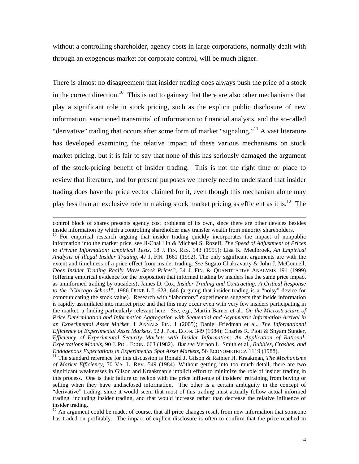without a controlling shareholder, agency costs in large corporations, normally dealt with through an exogenous market for corporate control, will be much higher.

There is almost no disagreement that insider trading does always push the price of a stock in the correct direction.<sup>10</sup> This is not to gainsay that there are also other mechanisms that play a significant role in stock pricing, such as the explicit public disclosure of new information, sanctioned transmittal of information to financial analysts, and the so-called "derivative" trading that occurs after some form of market "signaling."<sup>11</sup> A vast literature has developed examining the relative impact of these various mechanisms on stock market pricing, but it is fair to say that none of this has seriously damaged the argument of the stock-pricing benefit of insider trading. This is not the right time or place to review that literature, and for present purposes we merely need to understand that insider trading does have the price vector claimed for it, even though this mechanism alone may play less than an exclusive role in making stock market pricing as efficient as it is.<sup>12</sup> The

l

control block of shares presents agency cost problems of its own, since there are other devices besides

<span id="page-4-0"></span>inside information by which a controlling shareholder may transfer wealth from minority shareholders.  $10$  For empirical research arguing that insider trading quickly incorporates the impact of nonpublic information into the market price, see Ji-Chai Lin & Michael S. Rozeff, *The Speed of Adjustment of Prices to Private Information: Empirical Tests*, 18 J. FIN. RES. 143 (1995); Lisa K. Meulbroek, *An Empirical Analysis of Illegal Insider Trading*, 47 J. FIN. 1661 (1992). The only significant arguments are with the extent and timeliness of a price effect from insider trading. *See* Sugato Chakravarty & John J. McConnell, *Does Insider Trading Really Move Stock Prices?*, 34 J. FIN. & QUANTITATIVE ANALYSIS 191 (1999) (offering empirical evidence for the proposition that informed trading by insiders has the same price impact as uninformed trading by outsiders); James D. Cox, *Insider Trading and Contracting: A Critical Response to the "Chicago School"*, 1986 DUKE L.J. 628, 646 (arguing that insider trading is a "noisy" device for communicating the stock value). Research with "laboratory" experiments suggests that inside information is rapidly assimilated into market price and that this may occur even with very few insiders participating in the market, a finding particularly relevant here. *See, e.g.*, Martin Barner et al., *On the Microstructure of Price Determination and Information Aggregation with Sequential and Asymmetric Information Arrival in an Experimental Asset Market*, 1 ANNALS FIN. 1 (2005); Daniel Friedman et al., *The Informational Efficiency of Experimental Asset Markets*, 92 J. POL. ECON. 349 (1984); Charles R. Plott & Shyam Sunder, *Efficiency of Experimental Security Markets with Insider Information: An Application of Rational-Expectations Models*, 90 J. POL. ECON. 663 (1982). *But see* Vernon L. Smith et al., *Bubbles, Crashes, and Endogenous Expectations in Experimental Spot Asset Markets*, 56 ECONOMETRICA 1119 (1988). 11 The standard reference for this discussion is Ronald J. Gilson & Rainier H. Kraakman, *The Mechanisms*

<span id="page-4-1"></span>*of Market Efficiency*, 70 VA. L. REV. 549 (1984). Without getting into too much detail, there are two significant weaknesses in Gilson and Kraakman's implicit effort to minimize the role of insider trading in this process. One is their failure to reckon with the price influence of insiders' refraining from buying or selling when they have undisclosed information. The other is a certain ambiguity in the concept of "derivative" trading, since it would seem that most of this trading must actually follow actual informed trading, including insider trading, and that would increase rather than decrease the relative influence of insider trading.<br><sup>12</sup> An argument could be made, of course, that all price changes result from new information that someone

<span id="page-4-2"></span>has traded on profitably. The impact of explicit disclosure is often to confirm that the price reached in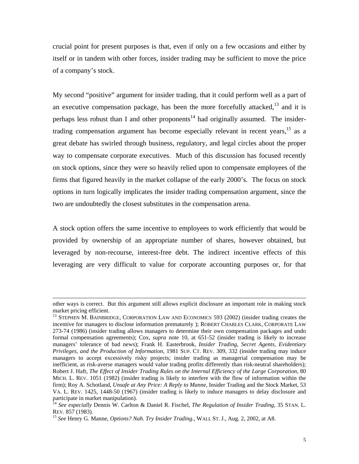crucial point for present purposes is that, even if only on a few occasions and either by itself or in tandem with other forces, insider trading may be sufficient to move the price of a company's stock.

My second "positive" argument for insider trading, that it could perform well as a part of an executive compensation package, has been the more forcefully attacked, $13$  and it is perhaps less robust than I and other proponents<sup>14</sup> had originally assumed. The insidertrading compensation argument has become especially relevant in recent years,  $15$  as a great debate has swirled through business, regulatory, and legal circles about the proper way to compensate corporate executives. Much of this discussion has focused recently on stock options, since they were so heavily relied upon to compensate employees of the firms that figured heavily in the market collapse of the early 2000's. The focus on stock options in turn logically implicates the insider trading compensation argument, since the two are undoubtedly the closest substitutes in the compensation arena.

A stock option offers the same incentive to employees to work efficiently that would be provided by ownership of an appropriate number of shares, however obtained, but leveraged by non-recourse, interest-free debt. The indirect incentive effects of this leveraging are very difficult to value for corporate accounting purposes or, for that

l

other ways is correct. But this argument still allows explicit disclosure an important role in making stock market pricing efficient.<br><sup>13</sup> STEPHEN M. BAINBRIDGE, CORPORATION LAW AND ECONOMICS 593 (2002) (insider trading creates the

<span id="page-5-0"></span>incentive for managers to disclose information prematurely ); ROBERT CHARLES CLARK, CORPORATE LAW 273-74 (1986) (insider trading allows managers to determine their own compensation packages and undo formal compensation agreements); Cox, *supra* note 10, at 651-52 (insider trading is likely to increase managers' tolerance of bad news); Frank H. Easterbrook, *Insider Trading, Secret Agents, Evidentiary Privileges, and the Production of Information*, 1981 SUP. CT. REV. 309, 332 (insider trading may induce managers to accept excessively risky projects; insider trading as managerial compensation may be inefficient, as risk-averse managers would value trading profits differently than risk-neutral shareholders); Robert J. Haft, *The Effect of Insider Trading Rules on the Internal Efficiency of the Large Corporation*, 80 MICH. L. REV. 1051 (1982) (insider trading is likely to interfere with the flow of information within the firm); Roy A. Schotland, *Unsafe at Any Price: A Reply to Manne,* Insider Trading and the Stock Market, 53 VA. L. REV. 1425, 1448-50 (1967) (insider trading is likely to induce managers to delay disclosure and

<span id="page-5-1"></span>participate in market manipulation).<br><sup>14</sup> *See especially* Dennis W. Carlton & Daniel R. Fischel, *The Regulation of Insider Trading*, 35 STAN. L.<br>REV. 857 (1983).

<span id="page-5-2"></span><sup>&</sup>lt;sup>15</sup> See Henry G. Manne, *Options? Nah. Try Insider Trading.*, WALL ST. J., Aug. 2, 2002, at A8.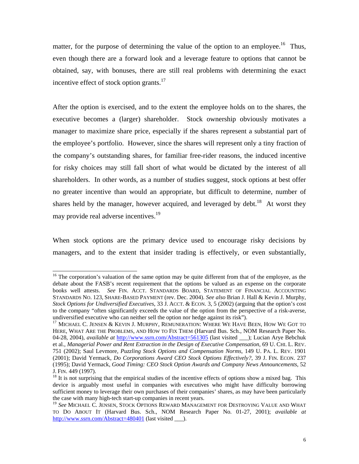matter, for the purpose of determining the value of the option to an employee.<sup>16</sup> Thus, even though there are a forward look and a leverage feature to options that cannot be obtained, say, with bonuses, there are still real problems with determining the exact incentive effect of stock option grants. $17$ 

After the option is exercised, and to the extent the employee holds on to the shares, the executive becomes a (larger) shareholder. Stock ownership obviously motivates a manager to maximize share price, especially if the shares represent a substantial part of the employee's portfolio. However, since the shares will represent only a tiny fraction of the company's outstanding shares, for familiar free-rider reasons, the induced incentive for risky choices may still fall short of what would be dictated by the interest of all shareholders. In other words, as a number of studies suggest, stock options at best offer no greater incentive than would an appropriate, but difficult to determine, number of shares held by the manager, however acquired, and leveraged by debt.<sup>18</sup> At worst they may provide real adverse incentives.<sup>[19](#page-6-3)</sup>

When stock options are the primary device used to encourage risky decisions by managers, and to the extent that insider trading is effectively, or even substantially,

<span id="page-6-0"></span><sup>&</sup>lt;sup>16</sup> The corporation's valuation of the same option may be quite different from that of the employee, as the debate about the FASB's recent requirement that the options be valued as an expense on the corporate books well attests. *See* FIN. ACCT. STANDARDS BOARD, STATEMENT OF FINANCIAL ACCOUNTING STANDARDS NO. 123, SHARE-BASED PAYMENT (rev. Dec. 2004). *See also* Brian J. Hall & Kevin J. Murphy, *Stock Options for Undiversified Executives*, 33 J. ACCT. & ECON. 3, 5 (2002) (arguing that the option's cost to the company "often significantly exceeds the value of the option from the perspective of a risk-averse, undiversified executive who can neither sell the option nor hedge against its risk").<br><sup>17</sup> MICHAEL C. JENSEN & KEVIN J. MURPHY, REMUNERATION: WHERE WE HAVE BEEN, HOW WE GOT TO

<span id="page-6-1"></span>HERE, WHAT ARE THE PROBLEMS, AND HOW TO FIX THEM (Harvard Bus. Sch., NOM Research Paper No. 04-28, 2004), *available at* <http://www.ssrn.com/Abstract=561305> (last visited \_\_\_); Lucian Arye Bebchuk et al., *Managerial Power and Rent Extraction in the Design of Executive Compensation*, 69 U. CHI. L. REV. 751 (2002); Saul Levmore, *Puzzling Stock Options and Compensation Norms*, 149 U. PA. L. REV. 1901 (2001); David Yermack, *Do Corporations Award CEO Stock Options Effectively?*, 39 J. FIN. ECON. 237 (1995); David Yermack, *Good Timing: CEO Stock Option Awards and Company News Announcements*, 52 J. FIN. 449 (1997).<br><sup>18</sup> It is not surprising that the empirical studies of the incentive effects of options show a mixed bag. This

<span id="page-6-2"></span>device is arguably most useful in companies with executives who might have difficulty borrowing sufficient money to leverage their own purchases of their companies' shares, as may have been particularly the case with many high-tech start-up companies in recent years.

<span id="page-6-3"></span><sup>19</sup> *See* MICHAEL C. JENSEN, STOCK OPTIONS REWARD MANAGEMENT FOR DESTROYING VALUE AND WHAT TO DO ABOUT IT (Harvard Bus. Sch., NOM Research Paper No. 01-27, 2001); *available at* <http://www.ssrn.com/Abstract=480401> (last visited  $\qquad$  ).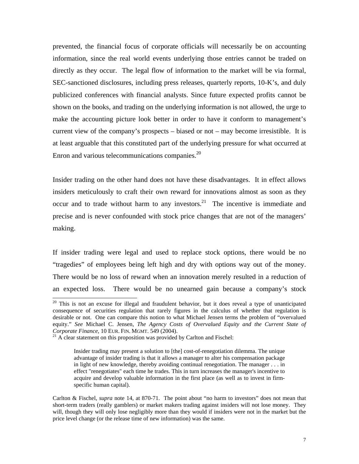prevented, the financial focus of corporate officials will necessarily be on accounting information, since the real world events underlying those entries cannot be traded on directly as they occur. The legal flow of information to the market will be via formal, SEC-sanctioned disclosures, including press releases, quarterly reports, 10-K's, and duly publicized conferences with financial analysts. Since future expected profits cannot be shown on the books, and trading on the underlying information is not allowed, the urge to make the accounting picture look better in order to have it conform to management's current view of the company's prospects – biased or not – may become irresistible. It is at least arguable that this constituted part of the underlying pressure for what occurred at Enron and various telecommunications companies.<sup>[20](#page-7-0)</sup>

Insider trading on the other hand does not have these disadvantages. It in effect allows insiders meticulously to craft their own reward for innovations almost as soon as they occur and to trade without harm to any investors.<sup>21</sup> The incentive is immediate and precise and is never confounded with stock price changes that are not of the managers' making.

If insider trading were legal and used to replace stock options, there would be no "tragedies" of employees being left high and dry with options way out of the money. There would be no loss of reward when an innovation merely resulted in a reduction of an expected loss. There would be no unearned gain because a company's stock

<span id="page-7-0"></span><sup>&</sup>lt;sup>20</sup> This is not an excuse for illegal and fraudulent behavior, but it does reveal a type of unanticipated consequence of securities regulation that rarely figures in the calculus of whether that regulation is desirable or not. One can compare this notion to what Michael Jensen terms the problem of "overvalued equity." *See* Michael C. Jensen, *The Agency Costs of Overvalued Equity and the Current State of Corporate Finance*, 10 EUR. FIN. MGMT. 549 (2004).<br><sup>21</sup> A clear statement on this proposition was provided by Carlton and Fischel:

<span id="page-7-1"></span>

Insider trading may present a solution to [the] cost-of-renegotiation dilemma. The unique advantage of insider trading is that it allows a manager to alter his compensation package in light of new knowledge, thereby avoiding continual renegotiation. The manager . . . in effect "renegotiates" each time he trades. This in turn increases the manager's incentive to acquire and develop valuable information in the first place (as well as to invest in firmspecific human capital).

Carlton & Fischel, *supra* note 14, at 870-71. The point about "no harm to investors" does not mean that short-term traders (really gamblers) or market makers trading against insiders will not lose money. They will, though they will only lose negligibly more than they would if insiders were not in the market but the price level change (or the release time of new information) was the same.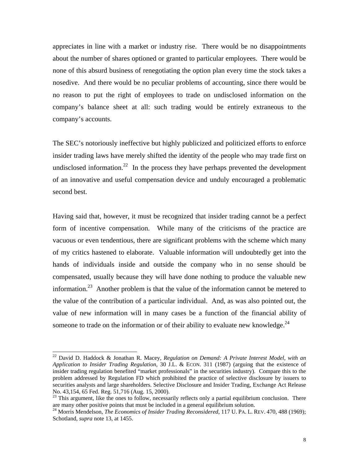appreciates in line with a market or industry rise. There would be no disappointments about the number of shares optioned or granted to particular employees. There would be none of this absurd business of renegotiating the option plan every time the stock takes a nosedive. And there would be no peculiar problems of accounting, since there would be no reason to put the right of employees to trade on undisclosed information on the company's balance sheet at all: such trading would be entirely extraneous to the company's accounts.

The SEC's notoriously ineffective but highly publicized and politicized efforts to enforce insider trading laws have merely shifted the identity of the people who may trade first on undisclosed information.<sup>22</sup> In the process they have perhaps prevented the development of an innovative and useful compensation device and unduly encouraged a problematic second best.

Having said that, however, it must be recognized that insider trading cannot be a perfect form of incentive compensation. While many of the criticisms of the practice are vacuous or even tendentious, there are significant problems with the scheme which many of my critics hastened to elaborate. Valuable information will undoubtedly get into the hands of individuals inside and outside the company who in no sense should be compensated, usually because they will have done nothing to produce the valuable new information.[23](#page-8-1) Another problem is that the value of the information cannot be metered to the value of the contribution of a particular individual. And, as was also pointed out, the value of new information will in many cases be a function of the financial ability of someone to trade on the information or of their ability to evaluate new knowledge. $^{24}$  $^{24}$  $^{24}$ 

<span id="page-8-0"></span> <sup>22</sup> David D. Haddock & Jonathan R. Macey, *Regulation on Demand: A Private Interest Model, with an Application to Insider Trading Regulation*, 30 J.L. & ECON. 311 (1987) (arguing that the existence of insider trading regulation benefited "market professionals" in the securities industry). Compare this to the problem addressed by Regulation FD which prohibited the practice of selective disclosure by issuers to securities analysts and large shareholders. Selective Disclosure and Insider Trading, Exchange Act Release

<span id="page-8-1"></span>No. 43,154, 65 Fed. Reg. 51,716 (Aug. 15, 2000).<br><sup>23</sup> This argument, like the ones to follow, necessarily reflects only a partial equilibrium conclusion. There are many other positive points that must be included in a gene

<span id="page-8-2"></span><sup>&</sup>lt;sup>24</sup> Morris Mendelson, *The Economics of Insider Trading Reconsidered*, 117 U. PA. L. REV. 470, 488 (1969); Schotland, *supra* note 13, at 1455.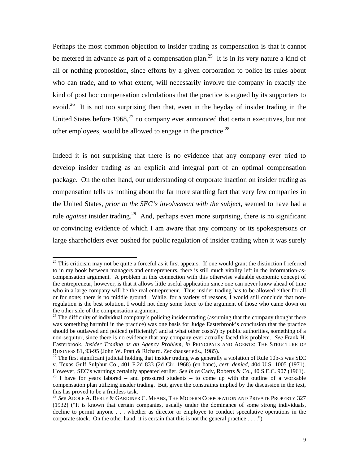Perhaps the most common objection to insider trading as compensation is that it cannot be metered in advance as part of a compensation plan.<sup>25</sup> It is in its very nature a kind of all or nothing proposition, since efforts by a given corporation to police its rules about who can trade, and to what extent, will necessarily involve the company in exactly the kind of post hoc compensation calculations that the practice is argued by its supporters to avoid.<sup>26</sup> It is not too surprising then that, even in the heyday of insider trading in the United States before  $1968<sup>27</sup>$  no company ever announced that certain executives, but not other employees, would be allowed to engage in the practice.<sup>[28](#page-9-3)</sup>

Indeed it is not surprising that there is no evidence that any company ever tried to develop insider trading as an explicit and integral part of an optimal compensation package. On the other hand, our understanding of corporate inaction on insider trading as compensation tells us nothing about the far more startling fact that very few companies in the United States, *prior to the SEC's involvement with the subject*, seemed to have had a rule *against* insider trading.<sup>29</sup> And, perhaps even more surprising, there is no significant or convincing evidence of which I am aware that any company or its spokespersons or large shareholders ever pushed for public regulation of insider trading when it was surely

<span id="page-9-0"></span><sup>&</sup>lt;sup>25</sup> This criticism may not be quite a forceful as it first appears. If one would grant the distinction I referred to in my book between managers and entrepreneurs, there is still much vitality left in the information-ascompensation argument. A problem in this connection with this otherwise valuable economic concept of the entrepreneur, however, is that it allows little useful application since one can never know ahead of time who in a large company will be the real entrepreneur. Thus insider trading has to be allowed either for all or for none; there is no middle ground. While, for a variety of reasons, I would still conclude that nonregulation is the best solution, I would not deny some force to the argument of those who came down on the other side of the compensation argument.<br><sup>26</sup> The difficulty of individual company's policing insider trading (assuming that the company thought there

<span id="page-9-1"></span>was something harmful in the practice) was one basis for Judge Easterbrook's conclusion that the practice should be outlawed and policed (efficiently? and at what other costs?) by public authorities, something of a non-sequitur, since there is no evidence that any company ever actually faced this problem. *See* Frank H. Easterbrook, *Insider Trading as an Agency Problem*, *in* PRINCIPALS AND AGENTS: THE STRUCTURE OF BUSINESS 81, 93-95 (John W. Pratt & Richard. Zeckhauser eds., 1985).<br><sup>27</sup> The first significant judicial holding that insider trading was generally a violation of Rule 10b-5 was SEC

<span id="page-9-2"></span>v. Texas Gulf Sulphur Co., 401 F.2d 833 (2d Cir. 1968) (en banc), *cert. denied*, 404 U.S. 1005 (1971). However, SEC's warnings certainly appeared earlier. *See In re* Cady, Roberts & Co., 40 S.E.C. 907 (1961).<br><sup>28</sup> I have for years labored – and pressured students – to come up with the outline of a workable compensation plan utilizing insider trading. But, given the constraints implied by the discussion in the text,

<span id="page-9-4"></span><span id="page-9-3"></span>this has proved to be a fruitless task.<br><sup>29</sup> *See* ADOLF A. BERLE & GARDINER C. MEANS, THE MODERN CORPORATION AND PRIVATE PROPERTY 327 (1932) ("It is known that certain companies, usually under the dominance of some strong individuals, decline to permit anyone . . . whether as director or employee to conduct speculative operations in the corporate stock. On the other hand, it is certain that this is not the general practice . . . .")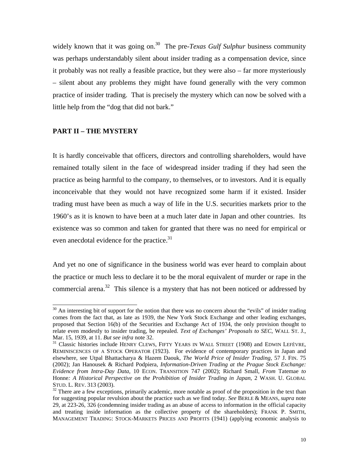widely known that it was going on.<sup>30</sup> The pre-*Texas Gulf Sulphur* business community was perhaps understandably silent about insider trading as a compensation device, since it probably was not really a feasible practice, but they were also – far more mysteriously – silent about any problems they might have found generally with the very common practice of insider trading. That is precisely the mystery which can now be solved with a little help from the "dog that did not bark."

#### **PART II – THE MYSTERY**

It is hardly conceivable that officers, directors and controlling shareholders, would have remained totally silent in the face of widespread insider trading if they had seen the practice as being harmful to the company, to themselves, or to investors. And it is equally inconceivable that they would not have recognized some harm if it existed. Insider trading must have been as much a way of life in the U.S. securities markets prior to the 1960's as it is known to have been at a much later date in Japan and other countries. Its existence was so common and taken for granted that there was no need for empirical or even anecdotal evidence for the practice.<sup>31</sup>

And yet no one of significance in the business world was ever heard to complain about the practice or much less to declare it to be the moral equivalent of murder or rape in the commercial arena.<sup>32</sup> This silence is a mystery that has not been noticed or addressed by

<span id="page-10-0"></span> $30$  An interesting bit of support for the notion that there was no concern about the "evils" of insider trading comes from the fact that, as late as 1939, the New York Stock Exchange and other leading exchanges, proposed that Section 16(b) of the Securities and Exchange Act of 1934, the only provision thought to relate even modestly to insider trading, be repealed. *Text of Exchanges' Proposals to SEC*, WALL ST. J., Mar. 15, 1939, at 11. *But see infra* note 32.<br><sup>31</sup> Classic histories include HENRY CLEWS, FIFTY YEARS IN WALL STREET (1908) and EDWIN LEFÈVRE,

<span id="page-10-1"></span>REMINISCENCES OF A STOCK OPERATOR (1923). For evidence of contemporary practices in Japan and elsewhere, see Utpal Bhattacharya & Hazem Daouk, *The World Price of Insider Trading*, 57 J. FIN. 75 (2002); Jan Hanousek & Richard Podpiera, *Information-Driven Trading at the Prague Stock Exchange: Evidence from Intra-Day Data*, 10 ECON. TRANSITION 747 (2002); Richard Small, *From* Tatemae *to* Honne*: A Historical Perspective on the Prohibition of Insider Trading in Japan*, 2 WASH. U. GLOBAL STUD. L. REV. 313 (2003).<br><sup>32</sup> There are a few exceptions, primarily academic, more notable as proof of the proposition in the text than

<span id="page-10-2"></span>for suggesting popular revulsion about the practice such as we find today. *See* BERLE & MEANS, *supra* note 29, at 223-26, 326 (condemning insider trading as an abuse of access to information in the official capacity and treating inside information as the collective property of the shareholders); FRANK P. SMITH, MANAGEMENT TRADING: STOCK-MARKETS PRICES AND PROFITS (1941) (applying economic analysis to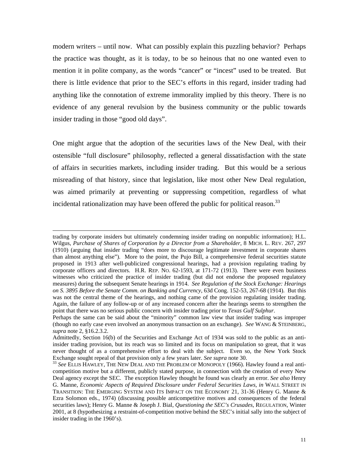modern writers – until now. What can possibly explain this puzzling behavior? Perhaps the practice was thought, as it is today, to be so heinous that no one wanted even to mention it in polite company, as the words "cancer" or "incest" used to be treated. But there is little evidence that prior to the SEC's efforts in this regard, insider trading had anything like the connotation of extreme immorality implied by this theory. There is no evidence of any general revulsion by the business community or the public towards insider trading in those "good old days".

One might argue that the adoption of the securities laws of the New Deal, with their ostensible "full disclosure" philosophy, reflected a general dissatisfaction with the state of affairs in securities markets, including insider trading. But this would be a serious misreading of that history, since that legislation, like most other New Deal regulation, was aimed primarily at preventing or suppressing competition, regardless of what incidental rationalization may have been offered the public for political reason.<sup>[33](#page-11-0)</sup>

 $\overline{a}$ 

trading by corporate insiders but ultimately condemning insider trading on nonpublic information); H.L. Wilgus, *Purchase of Shares of Corporation by a Director from a Shareholder*, 8 MICH. L. REV. 267, 297 (1910) (arguing that insider trading "does more to discourage legitimate investment in corporate shares than almost anything else"). More to the point, the Pujo Bill, a comprehensive federal securities statute proposed in 1913 after well-publicized congressional hearings, had a provision regulating trading by corporate officers and directors. H.R. REP. NO. 62-1593, at 171-72 (1913). There were even business witnesses who criticized the practice of insider trading (but did not endorse the proposed regulatory measures) during the subsequent Senate hearings in 1914. *See Regulation of the Stock Exchange: Hearings on S. 3895 Before the Senate Comm. on Banking and Currency*, 63d Cong. 152-53, 267-68 (1914). But this was not the central theme of the hearings, and nothing came of the provision regulating insider trading. Again, the failure of any follow-up or of any increased concern after the hearings seems to strengthen the point that there was no serious public concern with insider trading prior to *Texas Gulf Sulphur*.

Perhaps the same can be said about the "minority" common law view that insider trading was improper (though no early case even involved an anonymous transaction on an exchange). *See* WANG & STEINBERG, *supra* note 2, §16.2.3.2.

Admittedly, Section 16(b) of the Securities and Exchange Act of 1934 was sold to the public as an antiinsider trading provision, but its reach was so limited and its focus on manipulation so great, that it was never thought of as a comprehensive effort to deal with the subject. Even so, the New York Stock Exchange sought repeal of that provision only a few years later. *See supra* note 30.<br><sup>33</sup> *See* ELLIS HAWLEY, THE NEW DEAL AND THE PROBLEM OF MONOPOLY (1966). Hawley found a real anti-

<span id="page-11-0"></span>competition motive but a different, publicly stated purpose, in connection with the creation of every New Deal agency except the SEC. The exception Hawley thought he found was clearly an error. *See also* Henry G. Manne, *Economic Aspects of Required Disclosure under Federal Securities Laws*, *in* WALL STREET IN TRANSITION: THE EMERGING SYSTEM AND ITS IMPACT ON THE ECONOMY 21, 31-36 (Henry G. Manne & Ezra Solomon eds., 1974) (discussing possible anticompetitive motives and consequences of the federal securities laws); Henry G. Manne & Joseph J. Bial, *Questioning the SEC's Crusades*, REGULATION, Winter 2001, at 8 (hypothesizing a restraint-of-competition motive behind the SEC's initial sally into the subject of insider trading in the 1960's).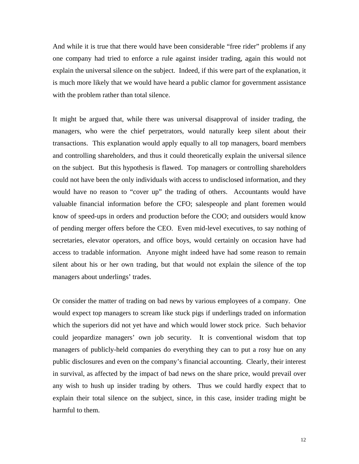And while it is true that there would have been considerable "free rider" problems if any one company had tried to enforce a rule against insider trading, again this would not explain the universal silence on the subject. Indeed, if this were part of the explanation, it is much more likely that we would have heard a public clamor for government assistance with the problem rather than total silence.

It might be argued that, while there was universal disapproval of insider trading, the managers, who were the chief perpetrators, would naturally keep silent about their transactions. This explanation would apply equally to all top managers, board members and controlling shareholders, and thus it could theoretically explain the universal silence on the subject. But this hypothesis is flawed. Top managers or controlling shareholders could not have been the only individuals with access to undisclosed information, and they would have no reason to "cover up" the trading of others. Accountants would have valuable financial information before the CFO; salespeople and plant foremen would know of speed-ups in orders and production before the COO; and outsiders would know of pending merger offers before the CEO. Even mid-level executives, to say nothing of secretaries, elevator operators, and office boys, would certainly on occasion have had access to tradable information. Anyone might indeed have had some reason to remain silent about his or her own trading, but that would not explain the silence of the top managers about underlings' trades.

Or consider the matter of trading on bad news by various employees of a company. One would expect top managers to scream like stuck pigs if underlings traded on information which the superiors did not yet have and which would lower stock price. Such behavior could jeopardize managers' own job security. It is conventional wisdom that top managers of publicly-held companies do everything they can to put a rosy hue on any public disclosures and even on the company's financial accounting. Clearly, their interest in survival, as affected by the impact of bad news on the share price, would prevail over any wish to hush up insider trading by others. Thus we could hardly expect that to explain their total silence on the subject, since, in this case, insider trading might be harmful to them.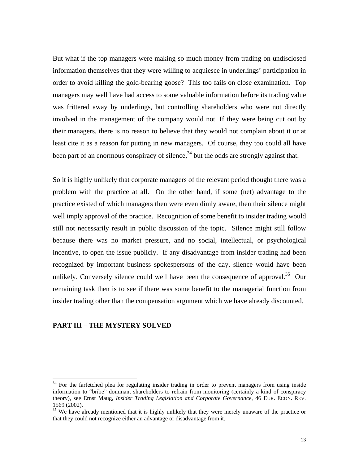But what if the top managers were making so much money from trading on undisclosed information themselves that they were willing to acquiesce in underlings' participation in order to avoid killing the gold-bearing goose? This too fails on close examination. Top managers may well have had access to some valuable information before its trading value was frittered away by underlings, but controlling shareholders who were not directly involved in the management of the company would not. If they were being cut out by their managers, there is no reason to believe that they would not complain about it or at least cite it as a reason for putting in new managers. Of course, they too could all have been part of an enormous conspiracy of silence,  $34$  but the odds are strongly against that.

So it is highly unlikely that corporate managers of the relevant period thought there was a problem with the practice at all. On the other hand, if some (net) advantage to the practice existed of which managers then were even dimly aware, then their silence might well imply approval of the practice. Recognition of some benefit to insider trading would still not necessarily result in public discussion of the topic. Silence might still follow because there was no market pressure, and no social, intellectual, or psychological incentive, to open the issue publicly. If any disadvantage from insider trading had been recognized by important business spokespersons of the day, silence would have been unlikely. Conversely silence could well have been the consequence of approval.<sup>35</sup> Our remaining task then is to see if there was some benefit to the managerial function from insider trading other than the compensation argument which we have already discounted.

#### **PART III – THE MYSTERY SOLVED**

<span id="page-13-0"></span> $34$  For the farfetched plea for regulating insider trading in order to prevent managers from using inside information to "bribe" dominant shareholders to refrain from monitoring (certainly a kind of conspiracy theory), see Ernst Maug, *Insider Trading Legislation and Corporate Governance*, 46 EUR. ECON. REV. 1569 (2002).<br><sup>35</sup> We have already mentioned that it is highly unlikely that they were merely unaware of the practice or

<span id="page-13-1"></span>that they could not recognize either an advantage or disadvantage from it.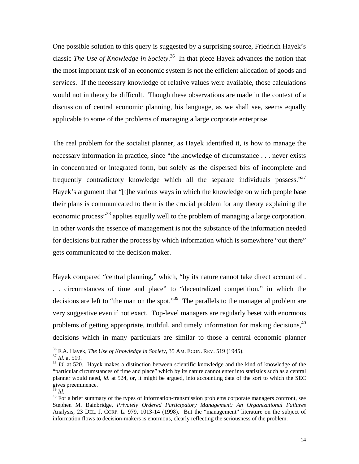One possible solution to this query is suggested by a surprising source, Friedrich Hayek's classic *The Use of Knowledge in Society*. [36](#page-14-0) In that piece Hayek advances the notion that the most important task of an economic system is not the efficient allocation of goods and services. If the necessary knowledge of relative values were available, those calculations would not in theory be difficult. Though these observations are made in the context of a discussion of central economic planning, his language, as we shall see, seems equally applicable to some of the problems of managing a large corporate enterprise.

The real problem for the socialist planner, as Hayek identified it, is how to manage the necessary information in practice, since "the knowledge of circumstance . . . never exists in concentrated or integrated form, but solely as the dispersed bits of incomplete and frequently contradictory knowledge which all the separate individuals possess."<sup>37</sup> Hayek's argument that "[t]he various ways in which the knowledge on which people base their plans is communicated to them is the crucial problem for any theory explaining the economic process<sup>38</sup> applies equally well to the problem of managing a large corporation. In other words the essence of management is not the substance of the information needed for decisions but rather the process by which information which is somewhere "out there" gets communicated to the decision maker.

Hayek compared "central planning," which, "by its nature cannot take direct account of . . . circumstances of time and place" to "decentralized competition," in which the decisions are left to "the man on the spot."<sup>39</sup> The parallels to the managerial problem are very suggestive even if not exact. Top-level managers are regularly beset with enormous problems of getting appropriate, truthful, and timely information for making decisions.<sup>40</sup> decisions which in many particulars are similar to those a central economic planner<br>
<sup>36</sup> F.A. Hayek, *The Use of Knowledge in Society*, 35 AM. ECON. REV. 519 (1945).<br>
<sup>37</sup> *Id.* at 519.<br>
<sup>38</sup> *Id.* at 520. Hayek makes a

<span id="page-14-0"></span>

<span id="page-14-1"></span>

<span id="page-14-2"></span><sup>&</sup>quot;particular circumstances of time and place" which by its nature cannot enter into statistics such as a central planner would need, *id*. at 524, or, it might be argued, into accounting data of the sort to which the SEC gives preeminence.

<span id="page-14-4"></span><span id="page-14-3"></span>

<sup>&</sup>lt;sup>39</sup> *Id.* 40 For a brief summary of the types of information-transmission problems corporate managers confront, see Stephen M. Bainbridge, *Privately Ordered Participatory Management: An Organizational Failures* Analysis, 23 DEL. J. CORP. L. 979, 1013-14 (1998). But the "management" literature on the subject of information flows to decision-makers is enormous, clearly reflecting the seriousness of the problem.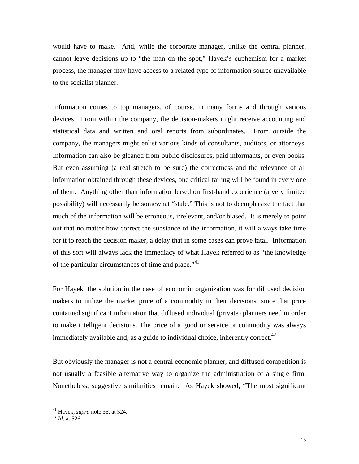would have to make. And, while the corporate manager, unlike the central planner, cannot leave decisions up to "the man on the spot," Hayek's euphemism for a market process, the manager may have access to a related type of information source unavailable to the socialist planner.

Information comes to top managers, of course, in many forms and through various devices. From within the company, the decision-makers might receive accounting and statistical data and written and oral reports from subordinates. From outside the company, the managers might enlist various kinds of consultants, auditors, or attorneys. Information can also be gleaned from public disclosures, paid informants, or even books. But even assuming (a real stretch to be sure) the correctness and the relevance of all information obtained through these devices, one critical failing will be found in every one of them. Anything other than information based on first-hand experience (a very limited possibility) will necessarily be somewhat "stale." This is not to deemphasize the fact that much of the information will be erroneous, irrelevant, and/or biased. It is merely to point out that no matter how correct the substance of the information, it will always take time for it to reach the decision maker, a delay that in some cases can prove fatal. Information of this sort will always lack the immediacy of what Hayek referred to as "the knowledge of the particular circumstances of time and place."<sup>[41](#page-15-0)</sup>

For Hayek, the solution in the case of economic organization was for diffused decision makers to utilize the market price of a commodity in their decisions, since that price contained significant information that diffused individual (private) planners need in order to make intelligent decisions. The price of a good or service or commodity was always immediately available and, as a guide to individual choice, inherently correct.<sup>42</sup>

But obviously the manager is not a central economic planner, and diffused competition is not usually a feasible alternative way to organize the administration of a single firm. Nonetheless, suggestive similarities remain. As Hayek showed, "The most significant

<span id="page-15-0"></span> <sup>41</sup> Hayek, *supra* note 36, at 524. 42 *Id*. at 526.

<span id="page-15-1"></span>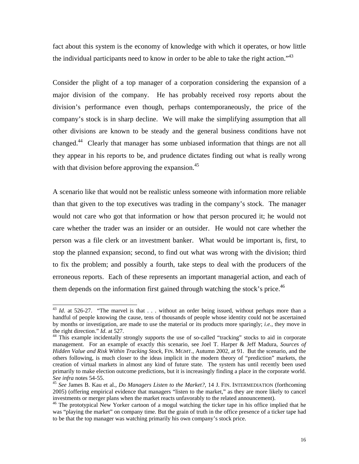fact about this system is the economy of knowledge with which it operates, or how little the individual participants need to know in order to be able to take the right action."<sup>[43](#page-16-0)</sup>

Consider the plight of a top manager of a corporation considering the expansion of a major division of the company. He has probably received rosy reports about the division's performance even though, perhaps contemporaneously, the price of the company's stock is in sharp decline. We will make the simplifying assumption that all other divisions are known to be steady and the general business conditions have not changed[.44](#page-16-1) Clearly that manager has some unbiased information that things are not all they appear in his reports to be, and prudence dictates finding out what is really wrong with that division before approving the expansion.<sup>45</sup>

A scenario like that would not be realistic unless someone with information more reliable than that given to the top executives was trading in the company's stock. The manager would not care who got that information or how that person procured it; he would not care whether the trader was an insider or an outsider. He would not care whether the person was a file clerk or an investment banker. What would be important is, first, to stop the planned expansion; second, to find out what was wrong with the division; third to fix the problem; and possibly a fourth, take steps to deal with the producers of the erroneous reports. Each of these represents an important managerial action, and each of them depends on the information first gained through watching the stock's price.<sup>[46](#page-16-3)</sup>

<span id="page-16-0"></span><sup>&</sup>lt;sup>43</sup> *Id.* at 526-27. "The marvel is that ... without an order being issued, without perhaps more than a handful of people knowing the cause, tens of thousands of people whose identity could not be ascertained by months or investigation, are made to use the material or its products more sparingly; *i.e.*, they move in

<span id="page-16-1"></span>the right direction." *Id.* at 527. <sup>44</sup> This example incidentally strongly supports the use of so-called "tracking" stocks to aid in corporate management. For an example of exactly this scenario, see Joel T. Harper & Jeff Madura, *Sources of Hidden Value and Risk Within Tracking Stock*, FIN. MGMT., Autumn 2002, at 91. But the scenario, and the others following, is much closer to the ideas implicit in the modern theory of "prediction" markets, the creation of virtual markets in almost any kind of future state. The system has until recently been used primarily to make election outcome predictions, but it is increasingly finding a place in the corporate world.<br>See infra notes 54-55.

<span id="page-16-2"></span><sup>&</sup>lt;sup>45</sup> See James B. Kau et al., *Do Managers Listen to the Market?*, 14 J. FIN. INTERMEDIATION (forthcoming 2005) (offering empirical evidence that managers "listen to the market," as they are more likely to cancel investments or merger plans when the market reacts unfavorably to the related announcement). 46 The prototypical New Yorker cartoon of a mogul watching the ticker tape in his office implied that he

<span id="page-16-3"></span>was "playing the market" on company time. But the grain of truth in the office presence of a ticker tape had to be that the top manager was watching primarily his own company's stock price.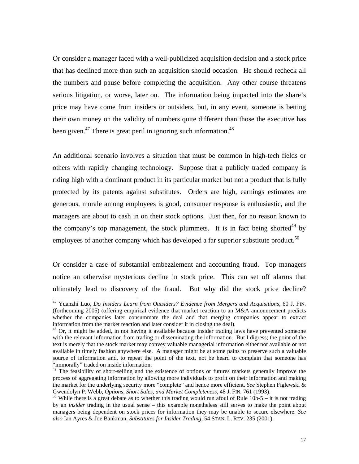Or consider a manager faced with a well-publicized acquisition decision and a stock price that has declined more than such an acquisition should occasion. He should recheck all the numbers and pause before completing the acquisition. Any other course threatens serious litigation, or worse, later on. The information being impacted into the share's price may have come from insiders or outsiders, but, in any event, someone is betting their own money on the validity of numbers quite different than those the executive has been given.<sup>47</sup> There is great peril in ignoring such information.<sup>[48](#page-17-1)</sup>

An additional scenario involves a situation that must be common in high-tech fields or others with rapidly changing technology. Suppose that a publicly traded company is riding high with a dominant product in its particular market but not a product that is fully protected by its patents against substitutes. Orders are high, earnings estimates are generous, morale among employees is good, consumer response is enthusiastic, and the managers are about to cash in on their stock options. Just then, for no reason known to the company's top management, the stock plummets. It is in fact being shorted<sup>49</sup> by employees of another company which has developed a far superior substitute product.<sup>50</sup>

Or consider a case of substantial embezzlement and accounting fraud. Top managers notice an otherwise mysterious decline in stock price. This can set off alarms that ultimately lead to discovery of the fraud. But why did the stock price decline?

<span id="page-17-0"></span> <sup>47</sup> Yuanzhi Luo*, Do Insiders Learn from Outsiders? Evidence from Mergers and Acquisitions,* 60 J. FIN. (forthcoming 2005) (offering empirical evidence that market reaction to an M&A announcement predicts whether the companies later consummate the deal and that merging companies appear to extract information from the market reaction and later consider it in closing the deal).<br><sup>48</sup> Or, it might be added, in not having it available because insider trading laws have prevented someone

<span id="page-17-1"></span>with the relevant information from trading or disseminating the information. But I digress; the point of the text is merely that the stock market may convey valuable managerial information either not available or not available in timely fashion anywhere else. A manager might be at some pains to preserve such a valuable source of information and, to repeat the point of the text, not be heard to complain that someone has "immorally" traded on inside information.

<span id="page-17-2"></span><sup>&</sup>lt;sup>49</sup> The feasibility of short-selling and the existence of options or futures markets generally improve the process of aggregating information by allowing more individuals to profit on their information and making the market for the underlying security more "complete" and hence more efficient. *See* Stephen Figlewski & Gwendolyn P. Webb, *Options, Short Sales, and Market Completeness*, 48 J. FIN. 761 (1993).<br><sup>50</sup> While there is a great debate as to whether this trading would run afoul of Rule 10b-5 – it is not trading

<span id="page-17-3"></span>by an *insider* trading in the usual sense – this example nonetheless still serves to make the point about managers being dependent on stock prices for information they may be unable to secure elsewhere. *See also* Ian Ayres & Joe Bankman, *Substitutes for Insider Trading*, 54 STAN. L. REV. 235 (2001).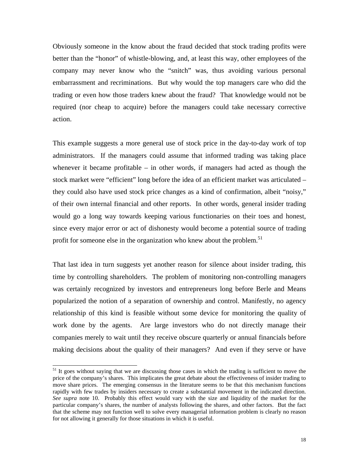Obviously someone in the know about the fraud decided that stock trading profits were better than the "honor" of whistle-blowing, and, at least this way, other employees of the company may never know who the "snitch" was, thus avoiding various personal embarrassment and recriminations. But why would the top managers care who did the trading or even how those traders knew about the fraud? That knowledge would not be required (nor cheap to acquire) before the managers could take necessary corrective action.

This example suggests a more general use of stock price in the day-to-day work of top administrators. If the managers could assume that informed trading was taking place whenever it became profitable – in other words, if managers had acted as though the stock market were "efficient" long before the idea of an efficient market was articulated – they could also have used stock price changes as a kind of confirmation, albeit "noisy," of their own internal financial and other reports. In other words, general insider trading would go a long way towards keeping various functionaries on their toes and honest, since every major error or act of dishonesty would become a potential source of trading profit for someone else in the organization who knew about the problem.<sup>[51](#page-18-0)</sup>

That last idea in turn suggests yet another reason for silence about insider trading, this time by controlling shareholders. The problem of monitoring non-controlling managers was certainly recognized by investors and entrepreneurs long before Berle and Means popularized the notion of a separation of ownership and control. Manifestly, no agency relationship of this kind is feasible without some device for monitoring the quality of work done by the agents. Are large investors who do not directly manage their companies merely to wait until they receive obscure quarterly or annual financials before making decisions about the quality of their managers? And even if they serve or have

<span id="page-18-0"></span><sup>&</sup>lt;sup>51</sup> It goes without saying that we are discussing those cases in which the trading is sufficient to move the price of the company's shares. This implicates the great debate about the effectiveness of insider trading to move share prices. The emerging consensus in the literature seems to be that this mechanism functions rapidly with few trades by insiders necessary to create a substantial movement in the indicated direction. *See supra* note 10. Probably this effect would vary with the size and liquidity of the market for the particular company's shares, the number of analysts following the shares, and other factors. But the fact that the scheme may not function well to solve every managerial information problem is clearly no reason for not allowing it generally for those situations in which it is useful.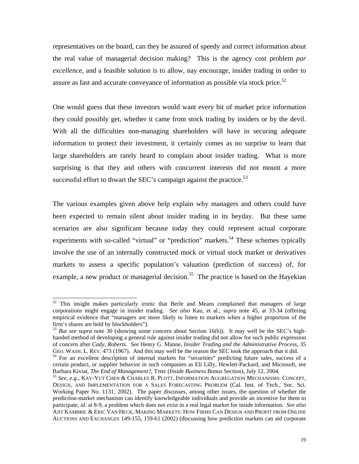representatives on the board, can they be assured of speedy and correct information about the real value of managerial decision making? This is the agency cost problem *par excellence*, and a feasible solution is to allow, nay encourage, insider trading in order to assure as fast and accurate conveyance of information as possible via stock price.<sup>52</sup>

One would guess that these investors would want every bit of market price information they could possibly get, whether it came from stock trading by insiders or by the devil. With all the difficulties non-managing shareholders will have in securing adequate information to protect their investment, it certainly comes as no surprise to learn that large shareholders are rarely heard to complain about insider trading. What is more surprising is that they and others with concurrent interests did not mount a more successful effort to thwart the SEC's campaign against the practice.<sup>53</sup>

The various examples given above help explain why managers and others could have been expected to remain silent about insider trading in its heyday. But these same scenarios are also significant because today they could represent actual corporate experiments with so-called "virtual" or "prediction" markets.<sup>54</sup> These schemes typically involve the use of an internally constructed mock or virtual stock market or derivatives markets to assess a specific population's valuation (prediction of success) of, for example, a new product or managerial decision.<sup>55</sup> The practice is based on the Hayekian

<span id="page-19-0"></span><sup>&</sup>lt;sup>52</sup> This insight makes particularly ironic that Berle and Means complained that managers of large corporations might engage in insider trading. *See also* Kau, et al., *supra* note 45, at 33-34 (offering empirical evidence that "managers are more likely to listen to markets when a higher proportion of the firm's shares are held by blockholders").<br><sup>53</sup> *But see supra* note 30 (showing some concern about Section 16(b)). It may well be the SEC's high-

<span id="page-19-1"></span>handed method of developing a general rule against insider trading did not allow for such public expression of concern after *Cady, Roberts*. *See* Henry G. Manne, *Insider Trading and the Administrative Process*, 35 GEO. WASH. L. REV. 473 (1967). And this may well be the reason the SEC took the approach that it did.<br><sup>54</sup> For an excellent description of internal markets for "securities" predicting future sales, success of a

<span id="page-19-2"></span>certain product, or supplier behavior in such companies as Eli Lilly, Hewlett-Packard, and Microsoft, see Barbara Kiviat, *The End of Management?*, TIME (*Inside Business* Bonus Section), July 12, 2004.<br><sup>55</sup> *See, e.g.*, KAY-YUT CHEN & CHARLES R. PLOTT, INFORMATION AGGREGATION MECHANISMS: CONCEPT,

<span id="page-19-3"></span>DESIGN, AND IMPLEMENTATION FOR A SALES FORECASTING PROBLEM (Cal. Inst. of Tech., Soc. Sci. Working Paper No. 1131, 2002). The paper discusses, among other issues, the question of whether the prediction-market mechanism can identify knowledgeable individuals and provide an incentive for them to participate, *id*. at 8-9, a problem which does not exist in a real legal market for inside information. *See also* AJIT KAMBRIL & ERIC VAN HECK, MAKING MARKETS: HOW FIRMS CAN DESIGN AND PROFIT FROM ONLINE AUCTIONS AND EXCHANGES 149-155, 159-61 (2002) (discussing how prediction markets can aid corporate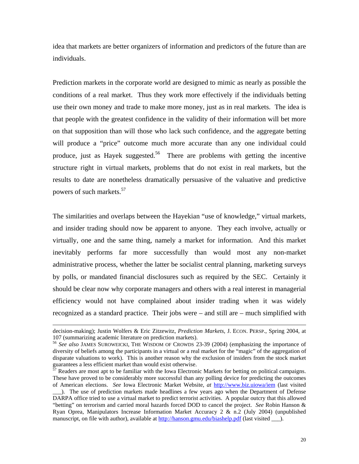idea that markets are better organizers of information and predictors of the future than are individuals.

Prediction markets in the corporate world are designed to mimic as nearly as possible the conditions of a real market. Thus they work more effectively if the individuals betting use their own money and trade to make more money, just as in real markets. The idea is that people with the greatest confidence in the validity of their information will bet more on that supposition than will those who lack such confidence, and the aggregate betting will produce a "price" outcome much more accurate than any one individual could produce, just as Hayek suggested.<sup>56</sup> There are problems with getting the incentive structure right in virtual markets, problems that do not exist in real markets, but the results to date are nonetheless dramatically persuasive of the valuative and predictive powers of such markets.<sup>[57](#page-20-1)</sup>

The similarities and overlaps between the Hayekian "use of knowledge," virtual markets, and insider trading should now be apparent to anyone. They each involve, actually or virtually, one and the same thing, namely a market for information. And this market inevitably performs far more successfully than would most any non-market administrative process, whether the latter be socialist central planning, marketing surveys by polls, or mandated financial disclosures such as required by the SEC. Certainly it should be clear now why corporate managers and others with a real interest in managerial efficiency would not have complained about insider trading when it was widely recognized as a standard practice. Their jobs were – and still are – much simplified with

 $\overline{a}$ 

decision-making); Justin Wolfers & Eric Zitzewitz, *Prediction Markets*, J. ECON. PERSP., Spring 2004, at 107 (summarizing academic literature on prediction markets). 56 *See also* JAMES SUROWEICKI, THE WISDOM OF CROWDS 23-39 (2004) (emphasizing the importance of

<span id="page-20-0"></span>diversity of beliefs among the participants in a virtual or a real market for the "magic" of the aggregation of disparate valuations to work). This is another reason why the exclusion of insiders from the stock market guarantees a less efficient market than would exist otherwise.<br><sup>57</sup> Readers are most apt to be familiar with the Iowa Electronic Markets for betting on political campaigns.

<span id="page-20-1"></span>These have proved to be considerably more successful than any polling device for predicting the outcomes of American elections. *See* Iowa Electronic Market Website, *at* <http://www.biz.uiowa/iem>(last visited

\_\_\_). The use of prediction markets made headlines a few years ago when the Department of Defense DARPA office tried to use a virtual market to predict terrorist activities. A popular outcry that this allowed "betting" on terrorism and carried moral hazards forced DOD to cancel the project. *See* Robin Hanson & Ryan Oprea, Manipulators Increase Information Market Accuracy 2 & n.2 (July 2004) (unpublished manuscript, on file with author), available at<http://hanson.gmu.edu/biashelp.pdf>(last visited \_\_\_).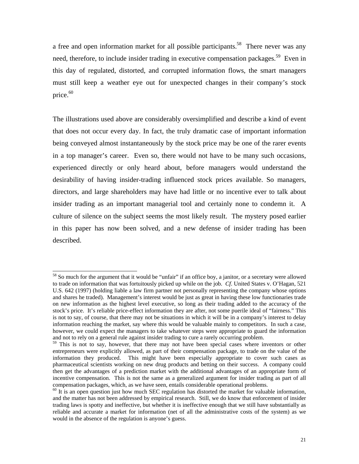a free and open information market for all possible participants.<sup>58</sup> There never was any need, therefore, to include insider trading in executive compensation packages.<sup>59</sup> Even in this day of regulated, distorted, and corrupted information flows, the smart managers must still keep a weather eye out for unexpected changes in their company's stock price.<sup>60</sup>

The illustrations used above are considerably oversimplified and describe a kind of event that does not occur every day. In fact, the truly dramatic case of important information being conveyed almost instantaneously by the stock price may be one of the rarer events in a top manager's career. Even so, there would not have to be many such occasions, experienced directly or only heard about, before managers would understand the desirability of having insider-trading influenced stock prices available. So managers, directors, and large shareholders may have had little or no incentive ever to talk about insider trading as an important managerial tool and certainly none to condemn it. A culture of silence on the subject seems the most likely result. The mystery posed earlier in this paper has now been solved, and a new defense of insider trading has been described.

<span id="page-21-0"></span><sup>&</sup>lt;sup>58</sup> So much for the argument that it would be "unfair" if an office boy, a janitor, or a secretary were allowed to trade on information that was fortuitously picked up while on the job. *Cf*. United States v. O'Hagan, 521 U.S. 642 (1997) (holding liable a law firm partner not personally representing the company whose options and shares he traded). Management's interest would be just as great in having these low functionaries trade on new information as the highest level executive, so long as their trading added to the accuracy of the stock's price. It's reliable price-effect information they are after, not some puerile ideal of "fairness." This is not to say, of course, that there may not be situations in which it will be in a company's interest to delay information reaching the market, say where this would be valuable mainly to competitors. In such a case, however, we could expect the managers to take whatever steps were appropriate to guard the information and not to rely on a general rule against insider trading to cure a rarely occurring problem.

<span id="page-21-1"></span><sup>&</sup>lt;sup>59</sup> This is not to say, however, that there may not have been special cases where inventors or other entrepreneurs were explicitly allowed, as part of their compensation package, to trade on the value of the information they produced. This might have been especially appropriate to cover such cases as pharmaceutical scientists working on new drug products and betting on their success. A company could then get the advantages of a prediction market with the additional advantages of an appropriate form of incentive compensation. This is not the same as a generalized argument for insider trading as part of all compensation packages, which, as we have seen, entails considerable operational problems.<br><sup>60</sup> It is an open question just how much SEC regulation has distorted the market for valuable information,

<span id="page-21-2"></span>and the matter has not been addressed by empirical research. Still, we do know that enforcement of insider trading laws is spotty and ineffective, but whether it is ineffective enough that we still have substantially as reliable and accurate a market for information (net of all the administrative costs of the system) as we would in the absence of the regulation is anyone's guess.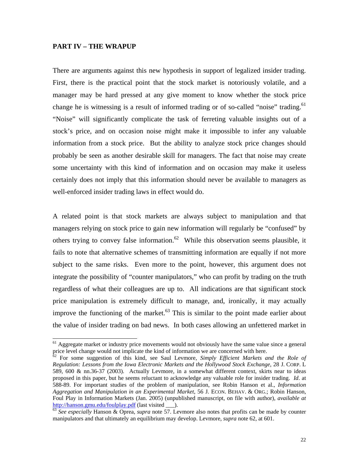#### **PART IV – THE WRAPUP**

There are arguments against this new hypothesis in support of legalized insider trading. First, there is the practical point that the stock market is notoriously volatile, and a manager may be hard pressed at any give moment to know whether the stock price change he is witnessing is a result of informed trading or of so-called "noise" trading.<sup>61</sup> "Noise" will significantly complicate the task of ferreting valuable insights out of a stock's price, and on occasion noise might make it impossible to infer any valuable information from a stock price. But the ability to analyze stock price changes should probably be seen as another desirable skill for managers. The fact that noise may create some uncertainty with this kind of information and on occasion may make it useless certainly does not imply that this information should never be available to managers as well-enforced insider trading laws in effect would do.

A related point is that stock markets are always subject to manipulation and that managers relying on stock price to gain new information will regularly be "confused" by others trying to convey false information.<sup>62</sup> While this observation seems plausible, it fails to note that alternative schemes of transmitting information are equally if not more subject to the same risks. Even more to the point, however, this argument does not integrate the possibility of "counter manipulators," who can profit by trading on the truth regardless of what their colleagues are up to. All indications are that significant stock price manipulation is extremely difficult to manage, and, ironically, it may actually improve the functioning of the market. $63$  This is similar to the point made earlier about the value of insider trading on bad news. In both cases allowing an unfettered market in

<span id="page-22-0"></span> $<sup>61</sup>$  Aggregate market or industry price movements would not obviously have the same value since a general</sup> price level change would not implicate the kind of information we are concerned with here.<br><sup>62</sup> For some suggestion of this kind, see Saul Levmore, *Simply Efficient Markets and the Role of* 

<span id="page-22-1"></span>*Regulation: Lessons from the Iowa Electronic Markets and the Hollywood Stock Exchange*, 28 J. CORP. L 589, 600 & nn.36-37 (2003). Actually Levmore, in a somewhat different context, skirts near to ideas proposed in this paper, but he seems reluctant to acknowledge any valuable role for insider trading. *Id*. at 588-89. For important studies of the problem of manipulation, see Robin Hanson et al., *Information Aggregation and Manipulation in an Experimental Market*, 56 J. ECON. BEHAV. & ORG.; Robin Hanson, Foul Play in Information Markets (Jan. 2005) (unpublished manuscript, on file with author), *available at* http://hanson.gmu.edu/foulplay.pdf (last visited \_\_\_).<br>
<sup>[63](http://hanson.gmu.edu/foulplay.pdf)</sup> *See especially* Hanson & Oprea, *supra* note 57. Levmore also notes that profits can be made by counter

<span id="page-22-2"></span>manipulators and that ultimately an equilibrium may develop. Levmore, *supra* note 62, at 601.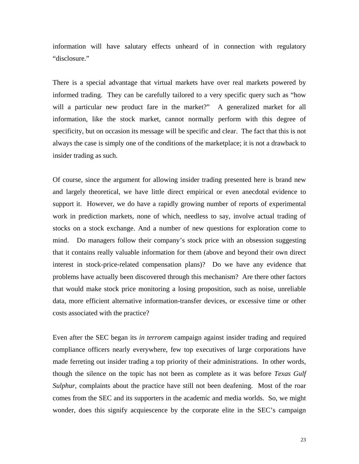information will have salutary effects unheard of in connection with regulatory "disclosure."

There is a special advantage that virtual markets have over real markets powered by informed trading. They can be carefully tailored to a very specific query such as "how will a particular new product fare in the market?" A generalized market for all information, like the stock market, cannot normally perform with this degree of specificity, but on occasion its message will be specific and clear. The fact that this is not always the case is simply one of the conditions of the marketplace; it is not a drawback to insider trading as such.

Of course, since the argument for allowing insider trading presented here is brand new and largely theoretical, we have little direct empirical or even anecdotal evidence to support it. However, we do have a rapidly growing number of reports of experimental work in prediction markets, none of which, needless to say, involve actual trading of stocks on a stock exchange. And a number of new questions for exploration come to mind. Do managers follow their company's stock price with an obsession suggesting that it contains really valuable information for them (above and beyond their own direct interest in stock-price-related compensation plans)? Do we have any evidence that problems have actually been discovered through this mechanism? Are there other factors that would make stock price monitoring a losing proposition, such as noise, unreliable data, more efficient alternative information-transfer devices, or excessive time or other costs associated with the practice?

Even after the SEC began its *in terrorem* campaign against insider trading and required compliance officers nearly everywhere, few top executives of large corporations have made ferreting out insider trading a top priority of their administrations. In other words, though the silence on the topic has not been as complete as it was before *Texas Gulf Sulphur*, complaints about the practice have still not been deafening. Most of the roar comes from the SEC and its supporters in the academic and media worlds. So, we might wonder, does this signify acquiescence by the corporate elite in the SEC's campaign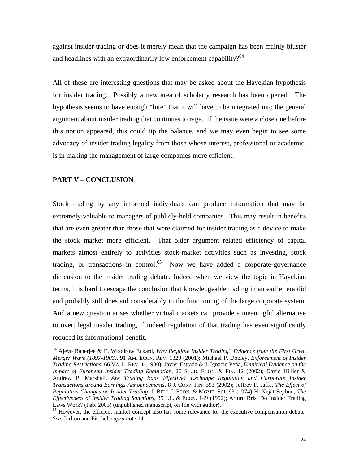against insider trading or does it merely mean that the campaign has been mainly bluster and headlines with an extraordinarily low enforcement capability? $64$ 

All of these are interesting questions that may be asked about the Hayekian hypothesis for insider trading. Possibly a new area of scholarly research has been opened. The hypothesis seems to have enough "bite" that it will have to be integrated into the general argument about insider trading that continues to rage. If the issue were a close one before this notion appeared, this could tip the balance, and we may even begin to see some advocacy of insider trading legality from those whose interest, professional or academic, is in making the management of large companies more efficient.

#### **PART V – CONCLUSION**

Stock trading by any informed individuals can produce information that may be extremely valuable to managers of publicly-held companies. This may result in benefits that are even greater than those that were claimed for insider trading as a device to make the stock market more efficient. That older argument related efficiency of capital markets almost entirely to activities stock-market activities such as investing, stock trading, or transactions in control.<sup>65</sup> Now we have added a corporate-governance dimension to the insider trading debate. Indeed when we view the topic in Hayekian terms, it is hard to escape the conclusion that knowledgeable trading in an earlier era did and probably still does aid considerably in the functioning of the large corporate system. And a new question arises whether virtual markets can provide a meaningful alternative to overt legal insider trading, if indeed regulation of that trading has even significantly reduced its informational benefit.<br>
<sup>64</sup> Ajeyo Banerjee & E. Woodrow Eckard, *Why Regulate Insider Trading? Evidence from the First Great* 

<span id="page-24-0"></span>*Merger Wave (1897-1903)*, 91 AM. ECON. REV. 1329 (2001); Michael P. Dooley, *Enforcement of Insider Trading Restrictions*, 66 VA. L. REV. 1 (1980); Javier Estrada & J. Ignacio Peña, *Empirical Evidence on the Impact of European Insider Trading Regulation*, 20 STUD. ECON. & FIN. 12 (2002); David Hillier & Andrew P. Marshall, *Are Trading Bans Effective? Exchange Regulation and Corporate Insider Transactions around Earnings Announcements*, 8 J. CORP. FIN. 393 (2002); Jeffrey F. Jaffe, *The Effect of Regulation Changes on Insider Trading*, J. BELL J. ECON. & MGMT. SCI. 93 (1974) H. Nejat Seyhun, *The Effectiveness of Insider Trading Sanctions*, 35 J.L. & ECON. 149 (1992); Arturo Bris, Do Insider Trading Laws Work? (Feb. 2003) (unpublished manuscript, on file with author).<br><sup>65</sup> However, the efficient market concept also has some relevance for the executive compensation debate.

<span id="page-24-1"></span>*See* Carlton and Fischel, *supra* note 14.